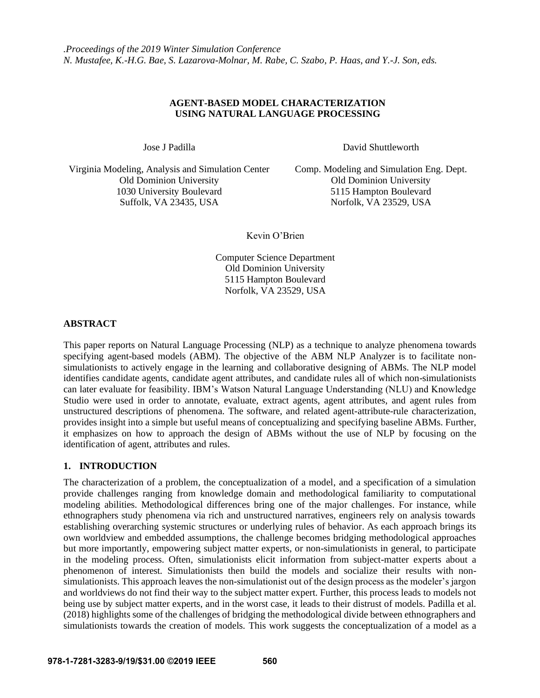## **AGENT-BASED MODEL CHARACTERIZATION USING NATURAL LANGUAGE PROCESSING**

Jose J Padilla David Shuttleworth

Virginia Modeling, Analysis and Simulation Center Comp. Modeling and Simulation Eng. Dept. Old Dominion University Old Dominion University 1030 University Boulevard 5115 Hampton Boulevard Suffolk, VA 23435, USA Norfolk, VA 23529, USA

Kevin O'Brien

Computer Science Department Old Dominion University 5115 Hampton Boulevard Norfolk, VA 23529, USA

## **ABSTRACT**

This paper reports on Natural Language Processing (NLP) as a technique to analyze phenomena towards specifying agent-based models (ABM). The objective of the ABM NLP Analyzer is to facilitate nonsimulationists to actively engage in the learning and collaborative designing of ABMs. The NLP model identifies candidate agents, candidate agent attributes, and candidate rules all of which non-simulationists can later evaluate for feasibility. IBM's Watson Natural Language Understanding (NLU) and Knowledge Studio were used in order to annotate, evaluate, extract agents, agent attributes, and agent rules from unstructured descriptions of phenomena. The software, and related agent-attribute-rule characterization, provides insight into a simple but useful means of conceptualizing and specifying baseline ABMs. Further, it emphasizes on how to approach the design of ABMs without the use of NLP by focusing on the identification of agent, attributes and rules.

# **1. INTRODUCTION**

The characterization of a problem, the conceptualization of a model, and a specification of a simulation provide challenges ranging from knowledge domain and methodological familiarity to computational modeling abilities. Methodological differences bring one of the major challenges. For instance, while ethnographers study phenomena via rich and unstructured narratives, engineers rely on analysis towards establishing overarching systemic structures or underlying rules of behavior. As each approach brings its own worldview and embedded assumptions, the challenge becomes bridging methodological approaches but more importantly, empowering subject matter experts, or non-simulationists in general, to participate in the modeling process. Often, simulationists elicit information from subject-matter experts about a phenomenon of interest. Simulationists then build the models and socialize their results with nonsimulationists. This approach leaves the non-simulationist out of the design process as the modeler's jargon and worldviews do not find their way to the subject matter expert. Further, this process leads to models not being use by subject matter experts, and in the worst case, it leads to their distrust of models. Padilla et al. (2018) highlights some of the challenges of bridging the methodological divide between ethnographers and simulationists towards the creation of models. This work suggests the conceptualization of a model as a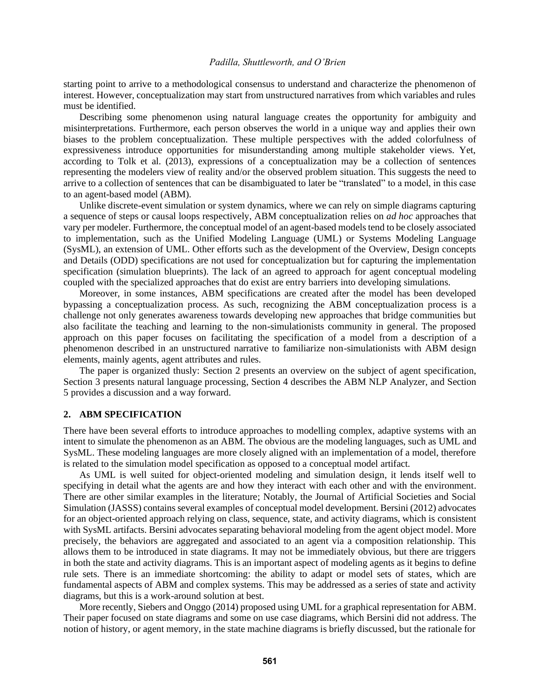starting point to arrive to a methodological consensus to understand and characterize the phenomenon of interest. However, conceptualization may start from unstructured narratives from which variables and rules must be identified.

Describing some phenomenon using natural language creates the opportunity for ambiguity and misinterpretations. Furthermore, each person observes the world in a unique way and applies their own biases to the problem conceptualization. These multiple perspectives with the added colorfulness of expressiveness introduce opportunities for misunderstanding among multiple stakeholder views. Yet, according to Tolk et al. (2013), expressions of a conceptualization may be a collection of sentences representing the modelers view of reality and/or the observed problem situation. This suggests the need to arrive to a collection of sentences that can be disambiguated to later be "translated" to a model, in this case to an agent-based model (ABM).

Unlike discrete-event simulation or system dynamics, where we can rely on simple diagrams capturing a sequence of steps or causal loops respectively, ABM conceptualization relies on *ad hoc* approaches that vary per modeler. Furthermore, the conceptual model of an agent-based models tend to be closely associated to implementation, such as the Unified Modeling Language (UML) or Systems Modeling Language (SysML), an extension of UML. Other efforts such as the development of the Overview, Design concepts and Details (ODD) specifications are not used for conceptualization but for capturing the implementation specification (simulation blueprints). The lack of an agreed to approach for agent conceptual modeling coupled with the specialized approaches that do exist are entry barriers into developing simulations.

Moreover, in some instances, ABM specifications are created after the model has been developed bypassing a conceptualization process. As such, recognizing the ABM conceptualization process is a challenge not only generates awareness towards developing new approaches that bridge communities but also facilitate the teaching and learning to the non-simulationists community in general. The proposed approach on this paper focuses on facilitating the specification of a model from a description of a phenomenon described in an unstructured narrative to familiarize non-simulationists with ABM design elements, mainly agents, agent attributes and rules.

The paper is organized thusly: Section 2 presents an overview on the subject of agent specification, Section 3 presents natural language processing, Section 4 describes the ABM NLP Analyzer, and Section 5 provides a discussion and a way forward.

#### **2. ABM SPECIFICATION**

There have been several efforts to introduce approaches to modelling complex, adaptive systems with an intent to simulate the phenomenon as an ABM. The obvious are the modeling languages, such as UML and SysML. These modeling languages are more closely aligned with an implementation of a model, therefore is related to the simulation model specification as opposed to a conceptual model artifact.

As UML is well suited for object-oriented modeling and simulation design, it lends itself well to specifying in detail what the agents are and how they interact with each other and with the environment. There are other similar examples in the literature; Notably, the Journal of Artificial Societies and Social Simulation (JASSS) contains several examples of conceptual model development. Bersini (2012) advocates for an object-oriented approach relying on class, sequence, state, and activity diagrams, which is consistent with SysML artifacts. Bersini advocates separating behavioral modeling from the agent object model. More precisely, the behaviors are aggregated and associated to an agent via a composition relationship. This allows them to be introduced in state diagrams. It may not be immediately obvious, but there are triggers in both the state and activity diagrams. This is an important aspect of modeling agents as it begins to define rule sets. There is an immediate shortcoming: the ability to adapt or model sets of states, which are fundamental aspects of ABM and complex systems. This may be addressed as a series of state and activity diagrams, but this is a work-around solution at best.

More recently, Siebers and Onggo (2014) proposed using UML for a graphical representation for ABM. Their paper focused on state diagrams and some on use case diagrams, which Bersini did not address. The notion of history, or agent memory, in the state machine diagrams is briefly discussed, but the rationale for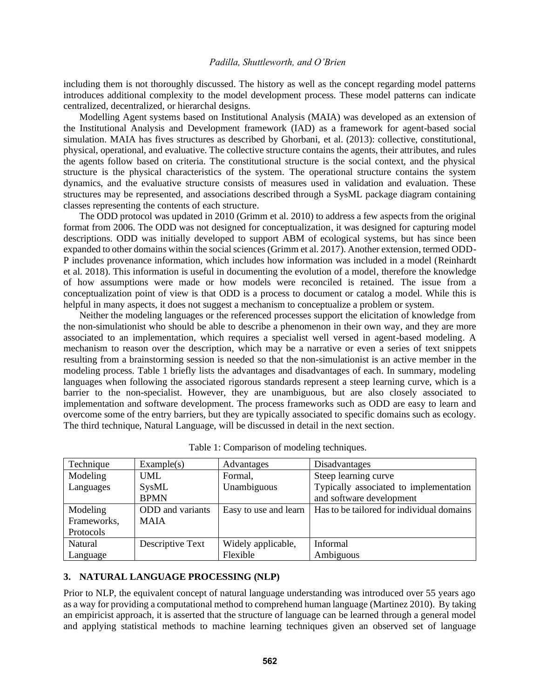including them is not thoroughly discussed. The history as well as the concept regarding model patterns introduces additional complexity to the model development process. These model patterns can indicate centralized, decentralized, or hierarchal designs.

Modelling Agent systems based on Institutional Analysis (MAIA) was developed as an extension of the Institutional Analysis and Development framework (IAD) as a framework for agent-based social simulation. MAIA has fives structures as described by Ghorbani, et al. (2013): collective, constitutional, physical, operational, and evaluative. The collective structure contains the agents, their attributes, and rules the agents follow based on criteria. The constitutional structure is the social context, and the physical structure is the physical characteristics of the system. The operational structure contains the system dynamics, and the evaluative structure consists of measures used in validation and evaluation. These structures may be represented, and associations described through a SysML package diagram containing classes representing the contents of each structure.

The ODD protocol was updated in 2010 (Grimm et al. 2010) to address a few aspects from the original format from 2006. The ODD was not designed for conceptualization, it was designed for capturing model descriptions. ODD was initially developed to support ABM of ecological systems, but has since been expanded to other domains within the social sciences (Grimm et al. 2017). Another extension, termed ODD-P includes provenance information, which includes how information was included in a model (Reinhardt et al. 2018). This information is useful in documenting the evolution of a model, therefore the knowledge of how assumptions were made or how models were reconciled is retained. The issue from a conceptualization point of view is that ODD is a process to document or catalog a model. While this is helpful in many aspects, it does not suggest a mechanism to conceptualize a problem or system.

Neither the modeling languages or the referenced processes support the elicitation of knowledge from the non-simulationist who should be able to describe a phenomenon in their own way, and they are more associated to an implementation, which requires a specialist well versed in agent-based modeling. A mechanism to reason over the description, which may be a narrative or even a series of text snippets resulting from a brainstorming session is needed so that the non-simulationist is an active member in the modeling process. Table 1 briefly lists the advantages and disadvantages of each. In summary, modeling languages when following the associated rigorous standards represent a steep learning curve, which is a barrier to the non-specialist. However, they are unambiguous, but are also closely associated to implementation and software development. The process frameworks such as ODD are easy to learn and overcome some of the entry barriers, but they are typically associated to specific domains such as ecology. The third technique, Natural Language, will be discussed in detail in the next section.

| Technique   | Example(s)       | Advantages            | Disadvantages                             |
|-------------|------------------|-----------------------|-------------------------------------------|
| Modeling    | <b>UML</b>       | Formal,               | Steep learning curve                      |
| Languages   | SysML            | Unambiguous           | Typically associated to implementation    |
|             | <b>BPMN</b>      |                       | and software development                  |
| Modeling    | ODD and variants | Easy to use and learn | Has to be tailored for individual domains |
| Frameworks, | <b>MAIA</b>      |                       |                                           |
| Protocols   |                  |                       |                                           |
| Natural     | Descriptive Text | Widely applicable,    | Informal                                  |
| Language    |                  | Flexible              | Ambiguous                                 |

Table 1: Comparison of modeling techniques.

### **3. NATURAL LANGUAGE PROCESSING (NLP)**

Prior to NLP, the equivalent concept of natural language understanding was introduced over 55 years ago as a way for providing a computational method to comprehend human language (Martinez 2010). By taking an empiricist approach, it is asserted that the structure of language can be learned through a general model and applying statistical methods to machine learning techniques given an observed set of language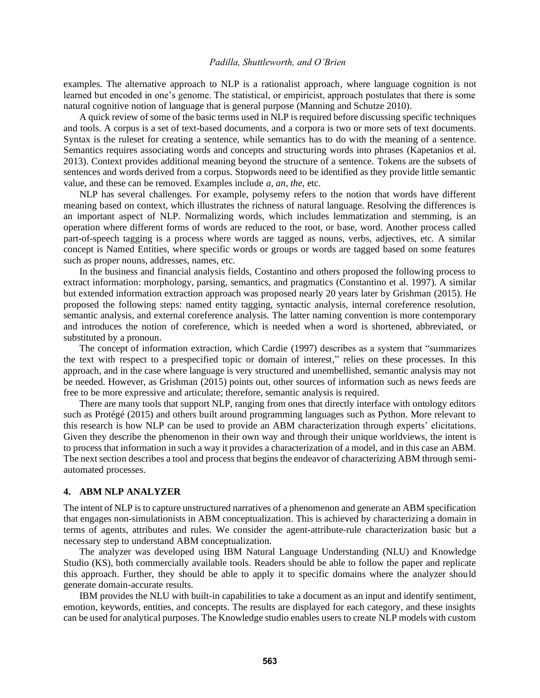examples. The alternative approach to NLP is a rationalist approach, where language cognition is not learned but encoded in one's genome. The statistical, or empiricist, approach postulates that there is some natural cognitive notion of language that is general purpose (Manning and Schutze 2010).

A quick review of some of the basic terms used in NLP is required before discussing specific techniques and tools. A corpus is a set of text-based documents, and a corpora is two or more sets of text documents. Syntax is the ruleset for creating a sentence, while semantics has to do with the meaning of a sentence. Semantics requires associating words and concepts and structuring words into phrases (Kapetanios et al. 2013). Context provides additional meaning beyond the structure of a sentence. Tokens are the subsets of sentences and words derived from a corpus. Stopwords need to be identified as they provide little semantic value, and these can be removed. Examples include *a*, *an*, *the*, etc.

NLP has several challenges. For example, polysemy refers to the notion that words have different meaning based on context, which illustrates the richness of natural language. Resolving the differences is an important aspect of NLP. Normalizing words, which includes lemmatization and stemming, is an operation where different forms of words are reduced to the root, or base, word. Another process called part-of-speech tagging is a process where words are tagged as nouns, verbs, adjectives, etc. A similar concept is Named Entities, where specific words or groups or words are tagged based on some features such as proper nouns, addresses, names, etc.

In the business and financial analysis fields, Costantino and others proposed the following process to extract information: morphology, parsing, semantics, and pragmatics (Constantino et al. 1997). A similar but extended information extraction approach was proposed nearly 20 years later by Grishman (2015). He proposed the following steps: named entity tagging, syntactic analysis, internal coreference resolution, semantic analysis, and external coreference analysis. The latter naming convention is more contemporary and introduces the notion of coreference, which is needed when a word is shortened, abbreviated, or substituted by a pronoun.

The concept of information extraction, which Cardie (1997) describes as a system that "summarizes the text with respect to a prespecified topic or domain of interest," relies on these processes. In this approach, and in the case where language is very structured and unembellished, semantic analysis may not be needed. However, as Grishman (2015) points out, other sources of information such as news feeds are free to be more expressive and articulate; therefore, semantic analysis is required.

There are many tools that support NLP, ranging from ones that directly interface with ontology editors such as Protégé (2015) and others built around programming languages such as Python. More relevant to this research is how NLP can be used to provide an ABM characterization through experts' elicitations. Given they describe the phenomenon in their own way and through their unique worldviews, the intent is to process that information in such a way it provides a characterization of a model, and in this case an ABM. The next section describes a tool and process that begins the endeavor of characterizing ABM through semiautomated processes.

## **4. ABM NLP ANALYZER**

The intent of NLP is to capture unstructured narratives of a phenomenon and generate an ABM specification that engages non-simulationists in ABM conceptualization. This is achieved by characterizing a domain in terms of agents, attributes and rules. We consider the agent-attribute-rule characterization basic but a necessary step to understand ABM conceptualization.

The analyzer was developed using IBM Natural Language Understanding (NLU) and Knowledge Studio (KS), both commercially available tools. Readers should be able to follow the paper and replicate this approach. Further, they should be able to apply it to specific domains where the analyzer should generate domain-accurate results.

IBM provides the NLU with built-in capabilities to take a document as an input and identify sentiment, emotion, keywords, entities, and concepts. The results are displayed for each category, and these insights can be used for analytical purposes. The Knowledge studio enables users to create NLP models with custom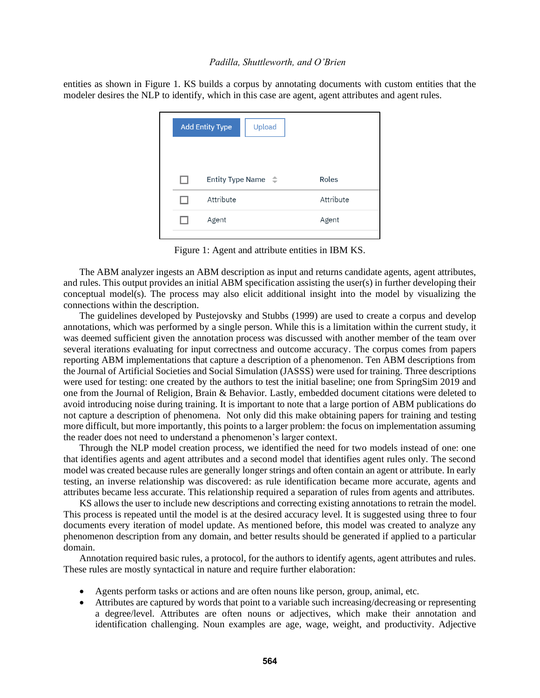entities as shown in Figure 1. KS builds a corpus by annotating documents with custom entities that the modeler desires the NLP to identify, which in this case are agent, agent attributes and agent rules.

| <b>Add Entity Type</b><br>Upload |           |
|----------------------------------|-----------|
| Entity Type Name $\phi$          | Roles     |
| Attribute                        | Attribute |
| Agent                            | Agent     |
|                                  |           |

Figure 1: Agent and attribute entities in IBM KS.

The ABM analyzer ingests an ABM description as input and returns candidate agents, agent attributes, and rules. This output provides an initial ABM specification assisting the user(s) in further developing their conceptual model(s). The process may also elicit additional insight into the model by visualizing the connections within the description.

The guidelines developed by Pustejovsky and Stubbs (1999) are used to create a corpus and develop annotations, which was performed by a single person. While this is a limitation within the current study, it was deemed sufficient given the annotation process was discussed with another member of the team over several iterations evaluating for input correctness and outcome accuracy. The corpus comes from papers reporting ABM implementations that capture a description of a phenomenon. Ten ABM descriptions from the Journal of Artificial Societies and Social Simulation (JASSS) were used for training. Three descriptions were used for testing: one created by the authors to test the initial baseline; one from SpringSim 2019 and one from the Journal of Religion, Brain & Behavior. Lastly, embedded document citations were deleted to avoid introducing noise during training. It is important to note that a large portion of ABM publications do not capture a description of phenomena. Not only did this make obtaining papers for training and testing more difficult, but more importantly, this points to a larger problem: the focus on implementation assuming the reader does not need to understand a phenomenon's larger context.

Through the NLP model creation process, we identified the need for two models instead of one: one that identifies agents and agent attributes and a second model that identifies agent rules only. The second model was created because rules are generally longer strings and often contain an agent or attribute. In early testing, an inverse relationship was discovered: as rule identification became more accurate, agents and attributes became less accurate. This relationship required a separation of rules from agents and attributes.

KS allows the user to include new descriptions and correcting existing annotations to retrain the model. This process is repeated until the model is at the desired accuracy level. It is suggested using three to four documents every iteration of model update. As mentioned before, this model was created to analyze any phenomenon description from any domain, and better results should be generated if applied to a particular domain.

Annotation required basic rules, a protocol, for the authors to identify agents, agent attributes and rules. These rules are mostly syntactical in nature and require further elaboration:

- Agents perform tasks or actions and are often nouns like person, group, animal, etc.
- Attributes are captured by words that point to a variable such increasing/decreasing or representing a degree/level. Attributes are often nouns or adjectives, which make their annotation and identification challenging. Noun examples are age, wage, weight, and productivity. Adjective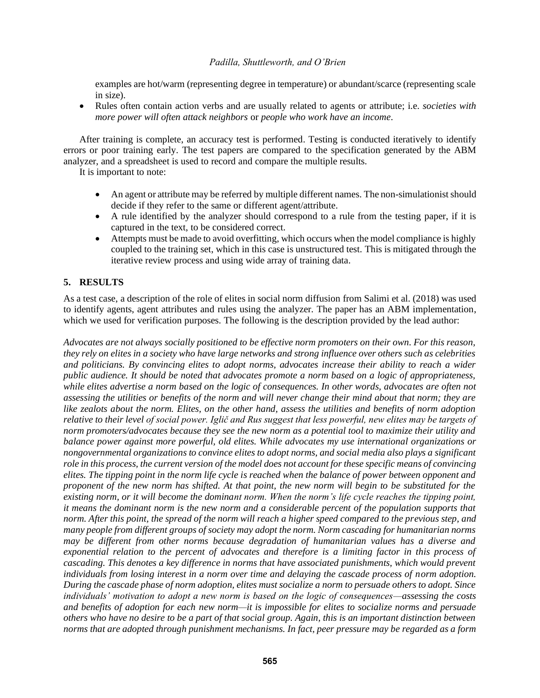examples are hot/warm (representing degree in temperature) or abundant/scarce (representing scale in size).

• Rules often contain action verbs and are usually related to agents or attribute; i.e. *societies with more power will often attack neighbors* or *people who work have an income*.

After training is complete, an accuracy test is performed. Testing is conducted iteratively to identify errors or poor training early. The test papers are compared to the specification generated by the ABM analyzer, and a spreadsheet is used to record and compare the multiple results.

It is important to note:

- An agent or attribute may be referred by multiple different names. The non-simulationist should decide if they refer to the same or different agent/attribute.
- A rule identified by the analyzer should correspond to a rule from the testing paper, if it is captured in the text, to be considered correct.
- Attempts must be made to avoid overfitting, which occurs when the model compliance is highly coupled to the training set, which in this case is unstructured test. This is mitigated through the iterative review process and using wide array of training data.

## **5. RESULTS**

As a test case, a description of the role of elites in social norm diffusion from Salimi et al. (2018) was used to identify agents, agent attributes and rules using the analyzer. The paper has an ABM implementation, which we used for verification purposes. The following is the description provided by the lead author:

*Advocates are not always socially positioned to be effective norm promoters on their own. For this reason, they rely on elites in a society who have large networks and strong influence over others such as celebrities and politicians. By convincing elites to adopt norms, advocates increase their ability to reach a wider public audience. It should be noted that advocates promote a norm based on a logic of appropriateness, while elites advertise a norm based on the logic of consequences. In other words, advocates are often not assessing the utilities or benefits of the norm and will never change their mind about that norm; they are like zealots about the norm. Elites, on the other hand, assess the utilities and benefits of norm adoption relative to their level of social power. Iglič and Rus suggest that less powerful, new elites may be targets of norm promoters/advocates because they see the new norm as a potential tool to maximize their utility and balance power against more powerful, old elites. While advocates my use international organizations or nongovernmental organizations to convince elites to adopt norms, and social media also plays a significant role in this process, the current version of the model does not account for these specific means of convincing elites. The tipping point in the norm life cycle is reached when the balance of power between opponent and proponent of the new norm has shifted. At that point, the new norm will begin to be substituted for the existing norm, or it will become the dominant norm. When the norm's life cycle reaches the tipping point, it means the dominant norm is the new norm and a considerable percent of the population supports that norm. After this point, the spread of the norm will reach a higher speed compared to the previous step, and many people from different groups of society may adopt the norm. Norm cascading for humanitarian norms may be different from other norms because degradation of humanitarian values has a diverse and exponential relation to the percent of advocates and therefore is a limiting factor in this process of cascading. This denotes a key difference in norms that have associated punishments, which would prevent individuals from losing interest in a norm over time and delaying the cascade process of norm adoption. During the cascade phase of norm adoption, elites must socialize a norm to persuade others to adopt. Since individuals' motivation to adopt a new norm is based on the logic of consequences—assessing the costs and benefits of adoption for each new norm—it is impossible for elites to socialize norms and persuade others who have no desire to be a part of that social group. Again, this is an important distinction between norms that are adopted through punishment mechanisms. In fact, peer pressure may be regarded as a form*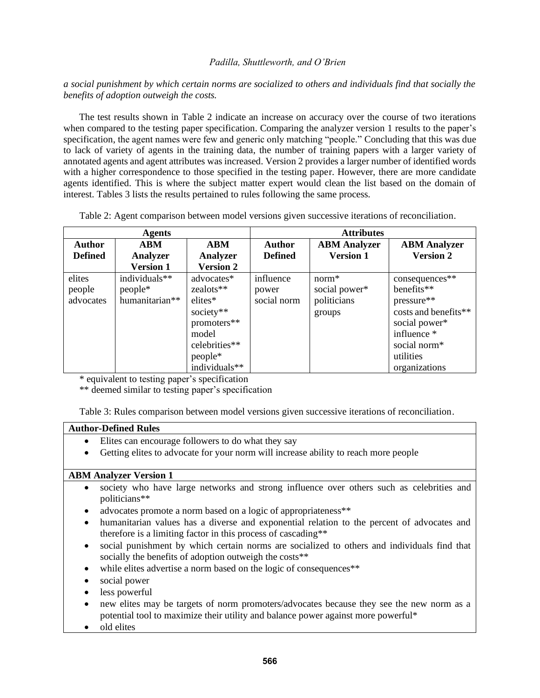*a social punishment by which certain norms are socialized to others and individuals find that socially the benefits of adoption outweigh the costs.*

The test results shown in Table 2 indicate an increase on accuracy over the course of two iterations when compared to the testing paper specification. Comparing the analyzer version 1 results to the paper's specification, the agent names were few and generic only matching "people." Concluding that this was due to lack of variety of agents in the training data, the number of training papers with a larger variety of annotated agents and agent attributes was increased. Version 2 provides a larger number of identified words with a higher correspondence to those specified in the testing paper. However, there are more candidate agents identified. This is where the subject matter expert would clean the list based on the domain of interest. Tables 3 lists the results pertained to rules following the same process.

|  | Table 2: Agent comparison between model versions given successive iterations of reconciliation. |  |  |  |  |
|--|-------------------------------------------------------------------------------------------------|--|--|--|--|
|  |                                                                                                 |  |  |  |  |

| <b>Agents</b>  |                  |                  | <b>Attributes</b> |                     |                      |  |
|----------------|------------------|------------------|-------------------|---------------------|----------------------|--|
| <b>Author</b>  | <b>ABM</b>       | <b>ABM</b>       | <b>Author</b>     | <b>ABM</b> Analyzer | <b>ABM Analyzer</b>  |  |
| <b>Defined</b> | Analyzer         | <b>Analyzer</b>  | <b>Defined</b>    | <b>Version 1</b>    | <b>Version 2</b>     |  |
|                | <b>Version 1</b> | <b>Version 2</b> |                   |                     |                      |  |
| elites         | individuals**    | advocates*       | influence         | $norm*$             | consequences**       |  |
| people         | people*          | zealots**        | power             | social power*       | benefits**           |  |
| advocates      | humanitarian**   | elites*          | social norm       | politicians         | pressure**           |  |
|                |                  | society**        |                   | groups              | costs and benefits** |  |
|                |                  | promoters**      |                   |                     | social power*        |  |
|                |                  | model            |                   |                     | influence *          |  |
|                |                  | celebrities**    |                   |                     | social norm*         |  |
|                |                  | people*          |                   |                     | utilities            |  |
|                |                  | individuals**    |                   |                     | organizations        |  |

\* equivalent to testing paper's specification

\*\* deemed similar to testing paper's specification

Table 3: Rules comparison between model versions given successive iterations of reconciliation.

## **Author-Defined Rules**

- Elites can encourage followers to do what they say
- Getting elites to advocate for your norm will increase ability to reach more people

## **ABM Analyzer Version 1**

- society who have large networks and strong influence over others such as celebrities and politicians\*\*
- advocates promote a norm based on a logic of appropriateness\*\*
- humanitarian values has a diverse and exponential relation to the percent of advocates and therefore is a limiting factor in this process of cascading\*\*
- social punishment by which certain norms are socialized to others and individuals find that socially the benefits of adoption outweigh the costs<sup>\*\*</sup>
- while elites advertise a norm based on the logic of consequences\*\*
- social power
- less powerful
- new elites may be targets of norm promoters/advocates because they see the new norm as a potential tool to maximize their utility and balance power against more powerful\*
- old elites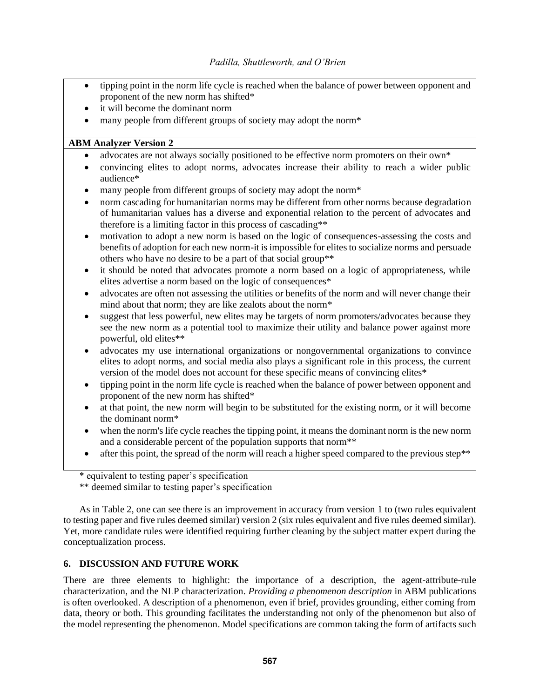- tipping point in the norm life cycle is reached when the balance of power between opponent and proponent of the new norm has shifted\*
- it will become the dominant norm
- many people from different groups of society may adopt the norm\*

# **ABM Analyzer Version 2**

- advocates are not always socially positioned to be effective norm promoters on their own\*
- convincing elites to adopt norms, advocates increase their ability to reach a wider public audience\*
- many people from different groups of society may adopt the norm<sup>\*</sup>
- norm cascading for humanitarian norms may be different from other norms because degradation of humanitarian values has a diverse and exponential relation to the percent of advocates and therefore is a limiting factor in this process of cascading\*\*
- motivation to adopt a new norm is based on the logic of consequences-assessing the costs and benefits of adoption for each new norm-it is impossible for elites to socialize norms and persuade others who have no desire to be a part of that social group\*\*
- it should be noted that advocates promote a norm based on a logic of appropriateness, while elites advertise a norm based on the logic of consequences\*
- advocates are often not assessing the utilities or benefits of the norm and will never change their mind about that norm; they are like zealots about the norm\*
- suggest that less powerful, new elites may be targets of norm promoters/advocates because they see the new norm as a potential tool to maximize their utility and balance power against more powerful, old elites\*\*
- advocates my use international organizations or nongovernmental organizations to convince elites to adopt norms, and social media also plays a significant role in this process, the current version of the model does not account for these specific means of convincing elites\*
- tipping point in the norm life cycle is reached when the balance of power between opponent and proponent of the new norm has shifted\*
- at that point, the new norm will begin to be substituted for the existing norm, or it will become the dominant norm\*
- when the norm's life cycle reaches the tipping point, it means the dominant norm is the new norm and a considerable percent of the population supports that norm\*\*
- after this point, the spread of the norm will reach a higher speed compared to the previous step\*\*

\*\* deemed similar to testing paper's specification

As in Table 2, one can see there is an improvement in accuracy from version 1 to (two rules equivalent to testing paper and five rules deemed similar) version 2 (six rules equivalent and five rules deemed similar). Yet, more candidate rules were identified requiring further cleaning by the subject matter expert during the conceptualization process.

# **6. DISCUSSION AND FUTURE WORK**

There are three elements to highlight: the importance of a description, the agent-attribute-rule characterization, and the NLP characterization. *Providing a phenomenon description* in ABM publications is often overlooked. A description of a phenomenon, even if brief, provides grounding, either coming from data, theory or both. This grounding facilitates the understanding not only of the phenomenon but also of the model representing the phenomenon. Model specifications are common taking the form of artifacts such

<sup>\*</sup> equivalent to testing paper's specification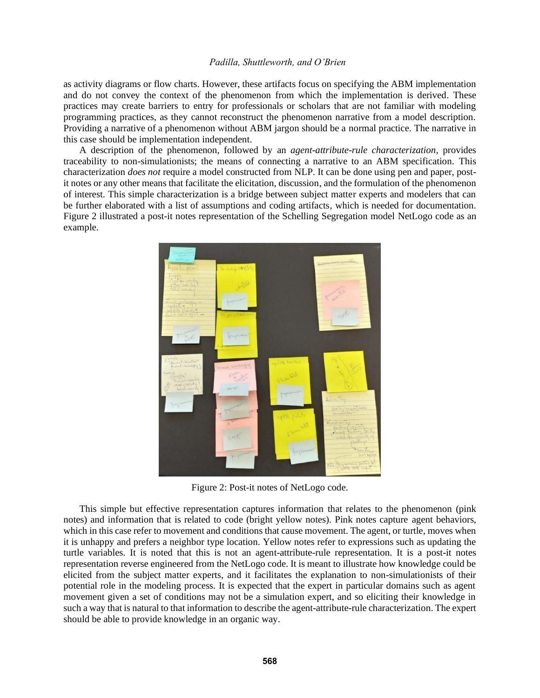as activity diagrams or flow charts. However, these artifacts focus on specifying the ABM implementation and do not convey the context of the phenomenon from which the implementation is derived. These practices may create barriers to entry for professionals or scholars that are not familiar with modeling programming practices, as they cannot reconstruct the phenomenon narrative from a model description. Providing a narrative of a phenomenon without ABM jargon should be a normal practice. The narrative in this case should be implementation independent.

A description of the phenomenon, followed by an *agent-attribute-rule characterization*, provides traceability to non-simulationists; the means of connecting a narrative to an ABM specification. This characterization *does not* require a model constructed from NLP. It can be done using pen and paper, postit notes or any other means that facilitate the elicitation, discussion, and the formulation of the phenomenon of interest. This simple characterization is a bridge between subject matter experts and modelers that can be further elaborated with a list of assumptions and coding artifacts, which is needed for documentation. Figure 2 illustrated a post-it notes representation of the Schelling Segregation model NetLogo code as an example.



Figure 2: Post-it notes of NetLogo code.

This simple but effective representation captures information that relates to the phenomenon (pink notes) and information that is related to code (bright yellow notes). Pink notes capture agent behaviors, which in this case refer to movement and conditions that cause movement. The agent, or turtle, moves when it is unhappy and prefers a neighbor type location. Yellow notes refer to expressions such as updating the turtle variables. It is noted that this is not an agent-attribute-rule representation. It is a post-it notes representation reverse engineered from the NetLogo code. It is meant to illustrate how knowledge could be elicited from the subject matter experts, and it facilitates the explanation to non-simulationists of their potential role in the modeling process. It is expected that the expert in particular domains such as agent movement given a set of conditions may not be a simulation expert, and so eliciting their knowledge in such a way that is natural to that information to describe the agent-attribute-rule characterization. The expert should be able to provide knowledge in an organic way.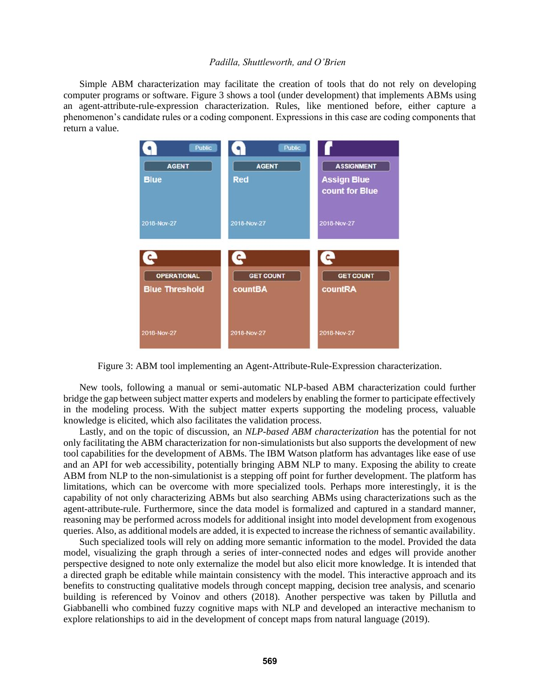Simple ABM characterization may facilitate the creation of tools that do not rely on developing computer programs or software. Figure 3 shows a tool (under development) that implements ABMs using an agent-attribute-rule-expression characterization. Rules, like mentioned before, either capture a phenomenon's candidate rules or a coding component. Expressions in this case are coding components that return a value.



Figure 3: ABM tool implementing an Agent-Attribute-Rule-Expression characterization.

New tools, following a manual or semi-automatic NLP-based ABM characterization could further bridge the gap between subject matter experts and modelers by enabling the former to participate effectively in the modeling process. With the subject matter experts supporting the modeling process, valuable knowledge is elicited, which also facilitates the validation process.

Lastly, and on the topic of discussion, an *NLP-based ABM characterization* has the potential for not only facilitating the ABM characterization for non-simulationists but also supports the development of new tool capabilities for the development of ABMs. The IBM Watson platform has advantages like ease of use and an API for web accessibility, potentially bringing ABM NLP to many. Exposing the ability to create ABM from NLP to the non-simulationist is a stepping off point for further development. The platform has limitations, which can be overcome with more specialized tools. Perhaps more interestingly, it is the capability of not only characterizing ABMs but also searching ABMs using characterizations such as the agent-attribute-rule. Furthermore, since the data model is formalized and captured in a standard manner, reasoning may be performed across models for additional insight into model development from exogenous queries. Also, as additional models are added, it is expected to increase the richness of semantic availability.

Such specialized tools will rely on adding more semantic information to the model. Provided the data model, visualizing the graph through a series of inter-connected nodes and edges will provide another perspective designed to note only externalize the model but also elicit more knowledge. It is intended that a directed graph be editable while maintain consistency with the model. This interactive approach and its benefits to constructing qualitative models through concept mapping, decision tree analysis, and scenario building is referenced by Voinov and others (2018). Another perspective was taken by Pillutla and Giabbanelli who combined fuzzy cognitive maps with NLP and developed an interactive mechanism to explore relationships to aid in the development of concept maps from natural language (2019).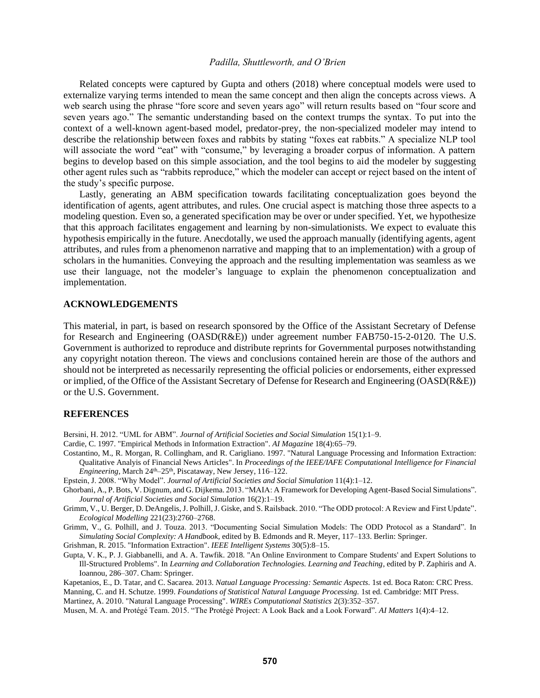Related concepts were captured by Gupta and others (2018) where conceptual models were used to externalize varying terms intended to mean the same concept and then align the concepts across views. A web search using the phrase "fore score and seven years ago" will return results based on "four score and seven years ago." The semantic understanding based on the context trumps the syntax. To put into the context of a well-known agent-based model, predator-prey, the non-specialized modeler may intend to describe the relationship between foxes and rabbits by stating "foxes eat rabbits." A specialize NLP tool will associate the word "eat" with "consume," by leveraging a broader corpus of information. A pattern begins to develop based on this simple association, and the tool begins to aid the modeler by suggesting other agent rules such as "rabbits reproduce," which the modeler can accept or reject based on the intent of the study's specific purpose.

Lastly, generating an ABM specification towards facilitating conceptualization goes beyond the identification of agents, agent attributes, and rules. One crucial aspect is matching those three aspects to a modeling question. Even so, a generated specification may be over or under specified. Yet, we hypothesize that this approach facilitates engagement and learning by non-simulationists. We expect to evaluate this hypothesis empirically in the future. Anecdotally, we used the approach manually (identifying agents, agent attributes, and rules from a phenomenon narrative and mapping that to an implementation) with a group of scholars in the humanities. Conveying the approach and the resulting implementation was seamless as we use their language, not the modeler's language to explain the phenomenon conceptualization and implementation.

### **ACKNOWLEDGEMENTS**

This material, in part, is based on research sponsored by the Office of the Assistant Secretary of Defense for Research and Engineering (OASD(R&E)) under agreement number FAB750-15-2-0120. The U.S. Government is authorized to reproduce and distribute reprints for Governmental purposes notwithstanding any copyright notation thereon. The views and conclusions contained herein are those of the authors and should not be interpreted as necessarily representing the official policies or endorsements, either expressed or implied, of the Office of the Assistant Secretary of Defense for Research and Engineering (OASD(R&E)) or the U.S. Government.

#### **REFERENCES**

- Bersini, H. 2012. "UML for ABM". *Journal of Artificial Societies and Social Simulation* 15(1):1–9.
- Cardie, C. 1997. "Empirical Methods in Information Extraction". *AI Magazine* 18(4):65–79.
- Costantino, M., R. Morgan, R. Collingham, and R. Carigliano. 1997. "Natural Language Processing and Information Extraction: Qualitative Analyis of Financial News Articles". In *Proceedings of the IEEE/IAFE Computational Intelligence for Financial*  Engineering, March 24<sup>th</sup>-25<sup>th</sup>, Piscataway, New Jersey, 116-122.
- Epstein, J. 2008. "Why Model". *Journal of Artificial Societies and Social Simulation* 11(4):1–12.
- Ghorbani, A., P. Bots, V. Dignum, and G. Dijkema. 2013. "MAIA: A Framework for Developing Agent-Based Social Simulations". *Journal of Artificial Societies and Social Simulation* 16(2):1–19.
- Grimm, V., U. Berger, D. DeAngelis, J. Polhill, J. Giske, and S. Railsback. 2010. "The ODD protocol: A Review and First Update". *Ecological Modelling* 221(23):2760–2768.

Grimm, V., G. Polhill, and J. Touza. 2013. "Documenting Social Simulation Models: The ODD Protocol as a Standard". In *Simulating Social Complexity: A Handbook*, edited by B. Edmonds and R. Meyer, 117–133. Berlin: Springer.

Grishman, R. 2015. "Information Extraction". *IEEE Intelligent Systems* 30(5):8–15.

Gupta, V. K., P. J. Giabbanelli, and A. A. Tawfik. 2018. "An Online Environment to Compare Students' and Expert Solutions to Ill-Structured Problems". In *Learning and Collaboration Technologies. Learning and Teaching*, edited by P. Zaphiris and A. Ioannou, 286–307. Cham: Springer.

Kapetanios, E., D. Tatar, and C. Sacarea. 2013. *Natual Language Processing: Semantic Aspects.* 1st ed. Boca Raton: CRC Press.

Manning, C. and H. Schutze. 1999. *Foundations of Statistical Natural Language Processing.* 1st ed. Cambridge: MIT Press. Martinez, A. 2010. "Natural Language Processing". *WIREs Computational Statistics* 2(3):352–357.

Musen, M. A. and Protégé Team. 2015. "The Protégé Project: A Look Back and a Look Forward". *AI Matters* 1(4):4–12.